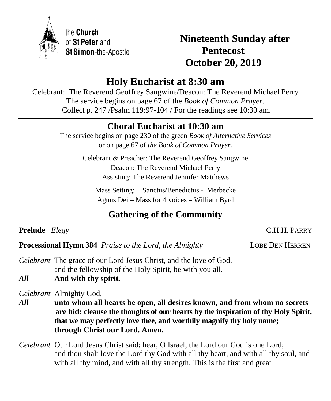

the Church of St Peter and St Simon-the-Apostle

**Nineteenth Sunday after Pentecost October 20, 2019**

# **Holy Eucharist at 8:30 am**

Celebrant: The Reverend Geoffrey Sangwine/Deacon: The Reverend Michael Perry The service begins on page 67 of the *Book of Common Prayer.* Collect p. 247 /Psalm 119:97-104 / For the readings see 10:30 am.

# **Choral Eucharist at 10:30 am**

The service begins on page 230 of the green *Book of Alternative Services* or on page 67 of *the Book of Common Prayer.*

> Celebrant & Preacher: The Reverend Geoffrey Sangwine Deacon: The Reverend Michael Perry Assisting: The Reverend Jennifer Matthews

Mass Setting: Sanctus/Benedictus - Merbecke Agnus Dei – Mass for 4 voices – William Byrd

# **Gathering of the Community**

**Prelude** *Elegy* C.H.H. PARRY

֡֡֡֡

**Processional Hymn 384** *Praise to the Lord, the Almighty* LOBE DEN HERREN

*Celebrant* The grace of our Lord Jesus Christ, and the love of God, and the fellowship of the Holy Spirit, be with you all.

*All* **And with thy spirit.**

*Celebrant* Almighty God,

- *All* **unto whom all hearts be open, all desires known, and from whom no secrets are hid: cleanse the thoughts of our hearts by the inspiration of thy Holy Spirit, that we may perfectly love thee, and worthily magnify thy holy name; through Christ our Lord. Amen.**
- *Celebrant* Our Lord Jesus Christ said: hear, O Israel, the Lord our God is one Lord; and thou shalt love the Lord thy God with all thy heart, and with all thy soul, and with all thy mind, and with all thy strength. This is the first and great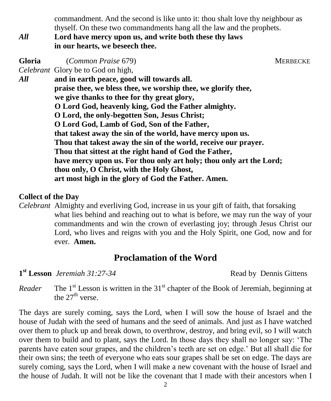commandment. And the second is like unto it: thou shalt love thy neighbour as thyself. On these two commandments hang all the law and the prophets.

*All* **Lord have mercy upon us, and write both these thy laws in our hearts, we beseech thee.**

**Gloria** (*Common Praise* 679) MERBECKE *Celebrant* Glory be to God on high, *All* **and in earth peace, good will towards all. praise thee, we bless thee, we worship thee, we glorify thee, we give thanks to thee for thy great glory, O Lord God, heavenly king, God the Father almighty. O Lord, the only-begotten Son, Jesus Christ; O Lord God, Lamb of God, Son of the Father, that takest away the sin of the world, have mercy upon us. Thou that takest away the sin of the world, receive our prayer. Thou that sittest at the right hand of God the Father, have mercy upon us. For thou only art holy; thou only art the Lord; thou only, O Christ, with the Holy Ghost, art most high in the glory of God the Father. Amen.**

### **Collect of the Day**

*Celebrant* Almighty and everliving God, increase in us your gift of faith, that forsaking what lies behind and reaching out to what is before, we may run the way of your commandments and win the crown of everlasting joy; through Jesus Christ our Lord, who lives and reigns with you and the Holy Spirit, one God, now and for ever. **Amen.**

# **Proclamation of the Word**

**1**<sup>st</sup> Lesson *Jeremiah 31:27-34* Read by Dennis Gittens

*Reader* The  $1<sup>st</sup>$  Lesson is written in the  $31<sup>st</sup>$  chapter of the Book of Jeremiah, beginning at the 27<sup>th</sup> verse.

The days are surely coming, says the Lord, when I will sow the house of Israel and the house of Judah with the seed of humans and the seed of animals. And just as I have watched over them to pluck up and break down, to overthrow, destroy, and bring evil, so I will watch over them to build and to plant, says the Lord. In those days they shall no longer say: 'The parents have eaten sour grapes, and the children's teeth are set on edge.' But all shall die for their own sins; the teeth of everyone who eats sour grapes shall be set on edge. The days are surely coming, says the Lord, when I will make a new covenant with the house of Israel and the house of Judah. It will not be like the covenant that I made with their ancestors when I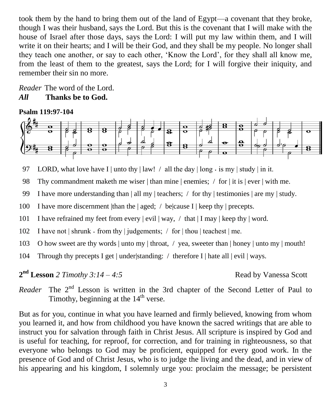took them by the hand to bring them out of the land of Egypt—a covenant that they broke, though I was their husband, says the Lord. But this is the covenant that I will make with the house of Israel after those days, says the Lord: I will put my law within them, and I will write it on their hearts; and I will be their God, and they shall be my people. No longer shall they teach one another, or say to each other, 'Know the Lord', for they shall all know me, from the least of them to the greatest, says the Lord; for I will forgive their iniquity, and remember their sin no more.

*Reader* The word of the Lord. *All* **Thanks be to God.**

#### **Psalm 119:97-104**



97 LORD, what love have I | unto thy | law! / all the day | long  $\cdot$  is my | study | in it.

98 Thy commandment maketh me wiser | than mine | enemies; / for | it is | ever | with me.

99 I have more understanding than  $\vert$  all my  $\vert$  teachers; / for thy  $\vert$  testimonies  $\vert$  are my  $\vert$  study.

100 I have more discernment  $|$ than the  $|$  aged;  $/$  be $|$ cause I $|$  keep thy  $|$  precepts.

101 I have refrained my feet from every | evil | way, / that | I may | keep thy | word.

102 I have not  $|\shrunk \cdot from thy \mid judgments; / for | thou | teachers t \mid me.$ 

103 O how sweet are thy words | unto my | throat, / yea, sweeter than | honey | unto my | mouth!

104 Through thy precepts I get | under|standing: / therefore I | hate all | evil | ways.

**2 nd Lesson** *2 Timothy 3:14 – 4:5* Read by Vanessa Scott

*Reader* The  $2<sup>nd</sup>$  Lesson is written in the 3rd chapter of the Second Letter of Paul to Timothy, beginning at the  $14<sup>th</sup>$  verse.

But as for you, continue in what you have learned and firmly believed, knowing from whom you learned it, and how from childhood you have known the sacred writings that are able to instruct you for salvation through faith in Christ Jesus. All scripture is inspired by God and is useful for teaching, for reproof, for correction, and for training in righteousness, so that everyone who belongs to God may be proficient, equipped for every good work. In the presence of God and of Christ Jesus, who is to judge the living and the dead, and in view of his appearing and his kingdom, I solemnly urge you: proclaim the message; be persistent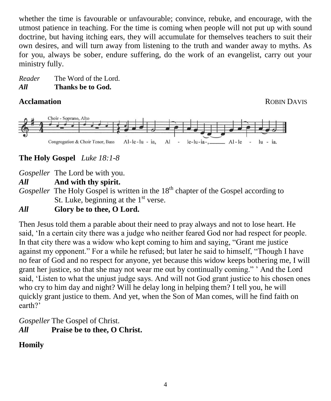whether the time is favourable or unfavourable; convince, rebuke, and encourage, with the utmost patience in teaching. For the time is coming when people will not put up with sound doctrine, but having itching ears, they will accumulate for themselves teachers to suit their own desires, and will turn away from listening to the truth and wander away to myths. As for you, always be sober, endure suffering, do the work of an evangelist, carry out your ministry fully.

*Reader* The Word of the Lord. *All* **Thanks be to God.**

**Acclamation ROBIN DAVIS** 



## **The Holy Gospel** *Luke 18:1-8*

*Gospeller* The Lord be with you.

*All* **And with thy spirit.**

*Gospeller* The Holy Gospel is written in the 18<sup>th</sup> chapter of the Gospel according to St. Luke, beginning at the 1<sup>st</sup> verse.

# *All* **Glory be to thee, O Lord.**

Then Jesus told them a parable about their need to pray always and not to lose heart. He said, 'In a certain city there was a judge who neither feared God nor had respect for people. In that city there was a widow who kept coming to him and saying, "Grant me justice against my opponent." For a while he refused; but later he said to himself, "Though I have no fear of God and no respect for anyone, yet because this widow keeps bothering me, I will grant her justice, so that she may not wear me out by continually coming." ' And the Lord said, 'Listen to what the unjust judge says. And will not God grant justice to his chosen ones who cry to him day and night? Will he delay long in helping them? I tell you, he will quickly grant justice to them. And yet, when the Son of Man comes, will he find faith on earth?'

*Gospeller* The Gospel of Christ. *All* **Praise be to thee, O Christ.**

# **Homily**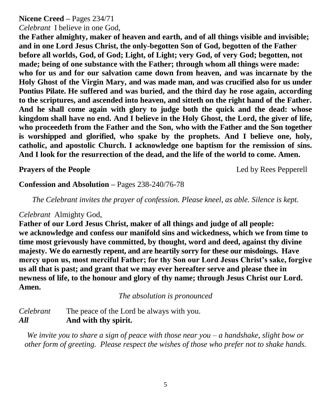## **Nicene Creed –** Pages 234/71

### *Celebrant* I believe in one God,

**the Father almighty, maker of heaven and earth, and of all things visible and invisible; and in one Lord Jesus Christ, the only-begotten Son of God, begotten of the Father before all worlds, God, of God; Light, of Light; very God, of very God; begotten, not made; being of one substance with the Father; through whom all things were made: who for us and for our salvation came down from heaven, and was incarnate by the Holy Ghost of the Virgin Mary, and was made man, and was crucified also for us under Pontius Pilate. He suffered and was buried, and the third day he rose again, according to the scriptures, and ascended into heaven, and sitteth on the right hand of the Father. And he shall come again with glory to judge both the quick and the dead: whose kingdom shall have no end. And I believe in the Holy Ghost, the Lord, the giver of life, who proceedeth from the Father and the Son, who with the Father and the Son together is worshipped and glorified, who spake by the prophets. And I believe one, holy, catholic, and apostolic Church. I acknowledge one baptism for the remission of sins. And I look for the resurrection of the dead, and the life of the world to come. Amen.**

**Prayers of the People** Led by Rees Pepperell

## **Confession and Absolution –** Pages 238-240/76-78

*The Celebrant invites the prayer of confession. Please kneel, as able. Silence is kept.*

#### *Celebrant* Almighty God,

**Father of our Lord Jesus Christ, maker of all things and judge of all people: we acknowledge and confess our manifold sins and wickedness, which we from time to time most grievously have committed, by thought, word and deed, against thy divine majesty. We do earnestly repent, and are heartily sorry for these our misdoings. Have mercy upon us, most merciful Father; for thy Son our Lord Jesus Christ's sake, forgive us all that is past; and grant that we may ever hereafter serve and please thee in newness of life, to the honour and glory of thy name; through Jesus Christ our Lord. Amen.**

*The absolution is pronounced*

*Celebrant* The peace of the Lord be always with you. *All* **And with thy spirit.**

*We invite you to share a sign of peace with those near you – a handshake, slight bow or other form of greeting. Please respect the wishes of those who prefer not to shake hands.*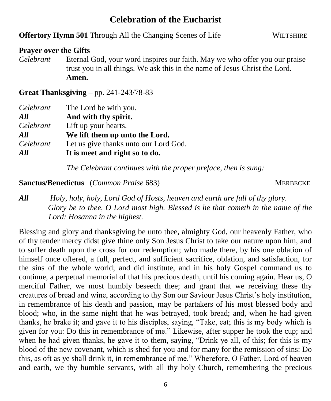# **Celebration of the Eucharist**

#### **Offertory Hymn 501** Through All the Changing Scenes of Life WILTSHIRE

#### **Prayer over the Gifts**

*Celebrant* Eternal God, your word inspires our faith. May we who offer you our praise trust you in all things. We ask this in the name of Jesus Christ the Lord. **Amen.**

**Great Thanksgiving –** pp. 241-243/78-83

| Celebrant | The Lord be with you.                 |
|-----------|---------------------------------------|
| All       | And with thy spirit.                  |
| Celebrant | Lift up your hearts.                  |
| All       | We lift them up unto the Lord.        |
| Celebrant | Let us give thanks unto our Lord God. |
| All       | It is meet and right so to do.        |

*The Celebrant continues with the proper preface, then is sung:*

#### **Sanctus/Benedictus** (*Common Praise* 683) MERBECKE

## *All Holy, holy, holy, Lord God of Hosts, heaven and earth are full of thy glory. Glory be to thee, O Lord most high. Blessed is he that cometh in the name of the Lord: Hosanna in the highest.*

Blessing and glory and thanksgiving be unto thee, almighty God, our heavenly Father, who of thy tender mercy didst give thine only Son Jesus Christ to take our nature upon him, and to suffer death upon the cross for our redemption; who made there, by his one oblation of himself once offered, a full, perfect, and sufficient sacrifice, oblation, and satisfaction, for the sins of the whole world; and did institute, and in his holy Gospel command us to continue, a perpetual memorial of that his precious death, until his coming again. Hear us, O merciful Father, we most humbly beseech thee; and grant that we receiving these thy creatures of bread and wine, according to thy Son our Saviour Jesus Christ's holy institution, in remembrance of his death and passion, may be partakers of his most blessed body and blood; who, in the same night that he was betrayed, took bread; and, when he had given thanks, he brake it; and gave it to his disciples, saying, "Take, eat; this is my body which is given for you: Do this in remembrance of me." Likewise, after supper he took the cup; and when he had given thanks, he gave it to them, saying, "Drink ye all, of this; for this is my blood of the new covenant, which is shed for you and for many for the remission of sins: Do this, as oft as ye shall drink it, in remembrance of me." Wherefore, O Father, Lord of heaven and earth, we thy humble servants, with all thy holy Church, remembering the precious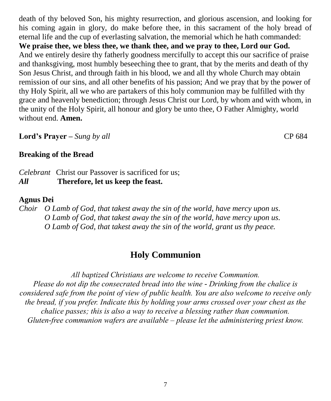death of thy beloved Son, his mighty resurrection, and glorious ascension, and looking for his coming again in glory, do make before thee, in this sacrament of the holy bread of eternal life and the cup of everlasting salvation, the memorial which he hath commanded: **We praise thee, we bless thee, we thank thee, and we pray to thee, Lord our God.**  And we entirely desire thy fatherly goodness mercifully to accept this our sacrifice of praise and thanksgiving, most humbly beseeching thee to grant, that by the merits and death of thy Son Jesus Christ, and through faith in his blood, we and all thy whole Church may obtain remission of our sins, and all other benefits of his passion; And we pray that by the power of thy Holy Spirit, all we who are partakers of this holy communion may be fulfilled with thy grace and heavenly benediction; through Jesus Christ our Lord, by whom and with whom, in the unity of the Holy Spirit, all honour and glory be unto thee, O Father Almighty, world without end. **Amen.**

**Lord's Prayer –** *Sung by all* CP 684

**Breaking of the Bread**

*Celebrant* Christ our Passover is sacrificed for us; *All* **Therefore, let us keep the feast.**

#### **Agnus Dei**

*Choir O Lamb of God, that takest away the sin of the world, have mercy upon us. O Lamb of God, that takest away the sin of the world, have mercy upon us. O Lamb of God, that takest away the sin of the world, grant us thy peace.*

# **Holy Communion**

*All baptized Christians are welcome to receive Communion. Please do not dip the consecrated bread into the wine - Drinking from the chalice is considered safe from the point of view of public health. You are also welcome to receive only the bread, if you prefer. Indicate this by holding your arms crossed over your chest as the chalice passes; this is also a way to receive a blessing rather than communion. Gluten-free communion wafers are available – please let the administering priest know.*